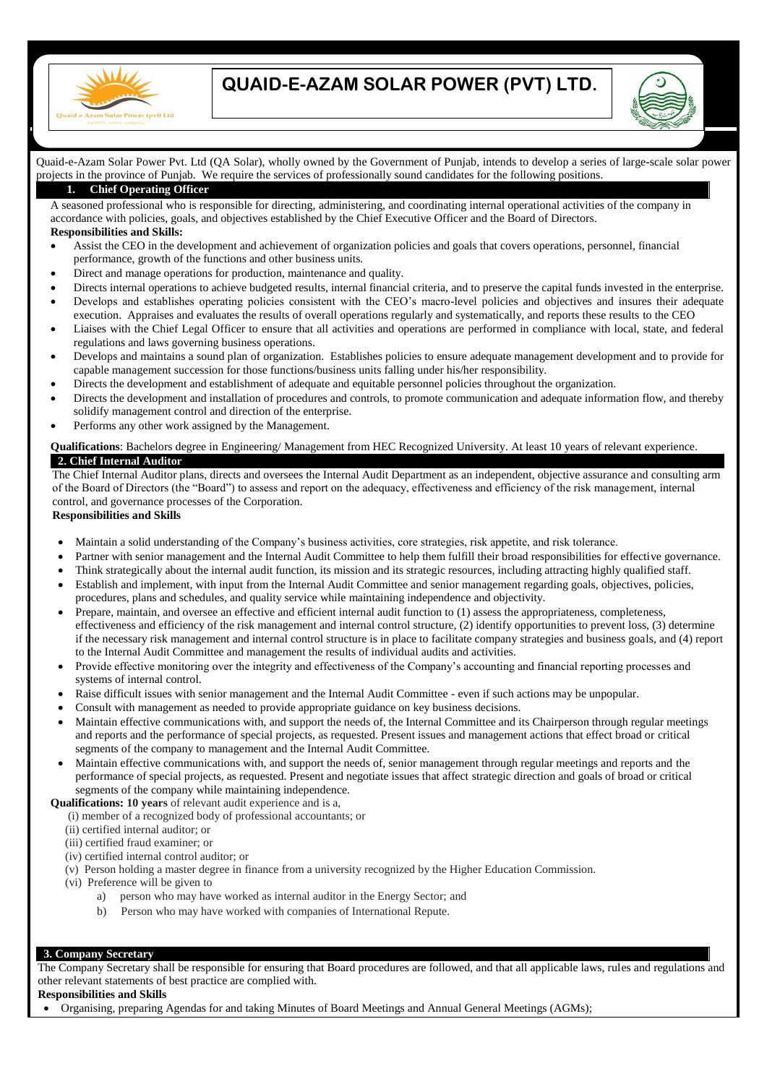

# **QUAID-E-AZAM SOLAR POWER (PVT) LTD.**



# Quaid-e-Azam Solar Power Pvt. Ltd (QA Solar), wholly owned by the Government of Punjab, intends to develop a series of large-scale solar power projects in the province of Punjab. We require the services of professionally sound candidates for the following positions.

# **1. Chief Operating Officer**

A seasoned professional who is responsible for directing, administering, and coordinating internal operational activities of the company in accordance with policies, goals, and objectives established by the Chief Executive Officer and the Board of Directors. **Responsibilities and Skills:**

- Assist the CEO in the development and achievement of organization policies and goals that covers operations, personnel, financial performance, growth of the functions and other business units.
- Direct and manage operations for production, maintenance and quality.
- Directs internal operations to achieve budgeted results, internal financial criteria, and to preserve the capital funds invested in the enterprise. Develops and establishes operating policies consistent with the CEO's macro-level policies and objectives and insures their adequate execution. Appraises and evaluates the results of overall operations regularly and systematically, and reports these results to the CEO
- Liaises with the Chief Legal Officer to ensure that all activities and operations are performed in compliance with local, state, and federal regulations and laws governing business operations.
- Develops and maintains a sound plan of organization. Establishes policies to ensure adequate management development and to provide for capable management succession for those functions/business units falling under his/her responsibility.
- Directs the development and establishment of adequate and equitable personnel policies throughout the organization.
- Directs the development and installation of procedures and controls, to promote communication and adequate information flow, and thereby solidify management control and direction of the enterprise.
- Performs any other work assigned by the Management.

## **Qualifications**: Bachelors degree in Engineering/ Management from HEC Recognized University. At least 10 years of relevant experience. **2. Chief Internal Auditor**

The Chief Internal Auditor plans, directs and oversees the Internal Audit Department as an independent, objective assurance and consulting arm of the Board of Directors (the "Board") to assess and report on the adequacy, effectiveness and efficiency of the risk management, internal control, and governance processes of the Corporation.

#### **Responsibilities and Skills**

- Maintain a solid understanding of the Company's business activities, core strategies, risk appetite, and risk tolerance.
- Partner with senior management and the Internal Audit Committee to help them fulfill their broad responsibilities for effective governance.
- Think strategically about the internal audit function, its mission and its strategic resources, including attracting highly qualified staff.
- Establish and implement, with input from the Internal Audit Committee and senior management regarding goals, objectives, policies, procedures, plans and schedules, and quality service while maintaining independence and objectivity.
- Prepare, maintain, and oversee an effective and efficient internal audit function to (1) assess the appropriateness, completeness, effectiveness and efficiency of the risk management and internal control structure, (2) identify opportunities to prevent loss, (3) determine if the necessary risk management and internal control structure is in place to facilitate company strategies and business goals, and (4) report to the Internal Audit Committee and management the results of individual audits and activities.
- Provide effective monitoring over the integrity and effectiveness of the Company's accounting and financial reporting processes and systems of internal control.
- Raise difficult issues with senior management and the Internal Audit Committee even if such actions may be unpopular.
- Consult with management as needed to provide appropriate guidance on key business decisions.
- Maintain effective communications with, and support the needs of, the Internal Committee and its Chairperson through regular meetings and reports and the performance of special projects, as requested. Present issues and management actions that effect broad or critical segments of the company to management and the Internal Audit Committee.
- Maintain effective communications with, and support the needs of, senior management through regular meetings and reports and the performance of special projects, as requested. Present and negotiate issues that affect strategic direction and goals of broad or critical segments of the company while maintaining independence.

**Qualifications: 10 years** of relevant audit experience and is a,

- (i) member of a recognized body of professional accountants; or
- (ii) certified internal auditor; or
- (iii) certified fraud examiner; or
- (iv) certified internal control auditor; or
- (v) Person holding a master degree in finance from a university recognized by the Higher Education Commission.
- (vi) Preference will be given to
	- a) person who may have worked as internal auditor in the Energy Sector; and
	- b) Person who may have worked with companies of International Repute.

#### **3. Company Secretary**

The Company Secretary shall be responsible for ensuring that Board procedures are followed, and that all applicable laws, rules and regulations and other relevant statements of best practice are complied with.

### **Responsibilities and Skills**

Organising, preparing Agendas for and taking Minutes of Board Meetings and Annual General Meetings (AGMs);